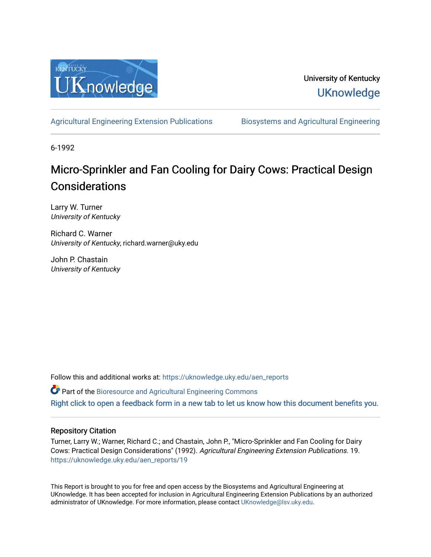

University of Kentucky **UKnowledge** 

[Agricultural Engineering Extension Publications](https://uknowledge.uky.edu/aen_reports) [Biosystems and Agricultural Engineering](https://uknowledge.uky.edu/bae) 

6-1992

## Micro-Sprinkler and Fan Cooling for Dairy Cows: Practical Design **Considerations**

Larry W. Turner University of Kentucky

Richard C. Warner University of Kentucky, richard.warner@uky.edu

John P. Chastain University of Kentucky

Follow this and additional works at: [https://uknowledge.uky.edu/aen\\_reports](https://uknowledge.uky.edu/aen_reports?utm_source=uknowledge.uky.edu%2Faen_reports%2F19&utm_medium=PDF&utm_campaign=PDFCoverPages)

Part of the [Bioresource and Agricultural Engineering Commons](http://network.bepress.com/hgg/discipline/1056?utm_source=uknowledge.uky.edu%2Faen_reports%2F19&utm_medium=PDF&utm_campaign=PDFCoverPages)

[Right click to open a feedback form in a new tab to let us know how this document benefits you.](https://uky.az1.qualtrics.com/jfe/form/SV_9mq8fx2GnONRfz7)

#### Repository Citation

Turner, Larry W.; Warner, Richard C.; and Chastain, John P., "Micro-Sprinkler and Fan Cooling for Dairy Cows: Practical Design Considerations" (1992). Agricultural Engineering Extension Publications. 19. [https://uknowledge.uky.edu/aen\\_reports/19](https://uknowledge.uky.edu/aen_reports/19?utm_source=uknowledge.uky.edu%2Faen_reports%2F19&utm_medium=PDF&utm_campaign=PDFCoverPages) 

This Report is brought to you for free and open access by the Biosystems and Agricultural Engineering at UKnowledge. It has been accepted for inclusion in Agricultural Engineering Extension Publications by an authorized administrator of UKnowledge. For more information, please contact [UKnowledge@lsv.uky.edu](mailto:UKnowledge@lsv.uky.edu).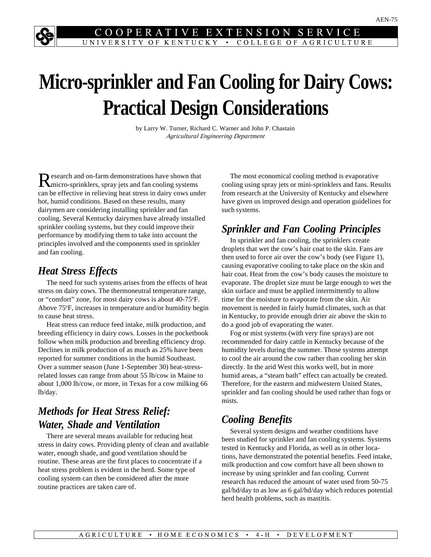#### **COOPERATIVE** EXTENSION SER UNIVERSITY OF KENTUCKY • COLLEGE OF AGRICULTURE

# **Micro-sprinkler and Fan Cooling for Dairy Cows: Practical Design Considerations**

by Larry W. Turner, Richard C. Warner and John P. Chastain *Agricultural Engineering Department*

Research and on-farm demonstrations have shown that micro-sprinklers, spray jets and fan cooling systems can be effective in relieving heat stress in dairy cows under hot, humid conditions. Based on these results, many dairymen are considering installing sprinkler and fan cooling. Several Kentucky dairymen have already installed sprinkler cooling systems, but they could improve their performance by modifying them to take into account the principles involved and the components used in sprinkler and fan cooling.

### *Heat Stress Effects*

The need for such systems arises from the effects of heat stress on dairy cows. The thermoneutral temperature range, or "comfort" zone, for most dairy cows is about 40-75°F. Above 75°F, increases in temperature and/or humidity begin to cause heat stress.

Heat stress can reduce feed intake, milk production, and breeding efficiency in dairy cows. Losses in the pocketbook follow when milk production and breeding efficiency drop. Declines in milk production of as much as 25% have been reported for summer conditions in the humid Southeast. Over a summer season (June 1-September 30) heat-stressrelated losses can range from about 55 lb/cow in Maine to about 1,000 lb/cow, or more, in Texas for a cow milking 66 lb/day.

## *Methods for Heat Stress Relief: Water, Shade and Ventilation*

There are several means available for reducing heat stress in dairy cows. Providing plenty of clean and available water, enough shade, and good ventilation should be routine. These areas are the first places to concentrate if a heat stress problem is evident in the herd. Some type of cooling system can then be considered after the more routine practices are taken care of.

The most economical cooling method is evaporative cooling using spray jets or mini-sprinklers and fans. Results from research at the University of Kentucky and elsewhere have given us improved design and operation guidelines for such systems.

## *Sprinkler and Fan Cooling Principles*

In sprinkler and fan cooling, the sprinklers create droplets that wet the cow's hair coat to the skin. Fans are then used to force air over the cow's body (see Figure 1), causing evaporative cooling to take place on the skin and hair coat. Heat from the cow's body causes the moisture to evaporate. The droplet size must be large enough to wet the skin surface and must be applied intermittently to allow time for the moisture to evaporate from the skin. Air movement is needed in fairly humid climates, such as that in Kentucky, to provide enough drier air above the skin to do a good job of evaporating the water.

Fog or mist systems (with very fine sprays) are not recommended for dairy cattle in Kentucky because of the humidity levels during the summer. Those systems attempt to cool the air around the cow rather than cooling her skin directly. In the arid West this works well, but in more humid areas, a "steam bath" effect can actually be created. Therefore, for the eastern and midwestern United States, sprinkler and fan cooling should be used rather than fogs or mists.

## *Cooling Benefits*

Several system designs and weather conditions have been studied for sprinkler and fan cooling systems. Systems tested in Kentucky and Florida, as well as in other locations, have demonstrated the potential benefits. Feed intake, milk production and cow comfort have all been shown to increase by using sprinkler and fan cooling. Current research has reduced the amount of water used from 50-75 gal/hd/day to as low as 6 gal/hd/day which reduces potential herd health problems, such as mastitis.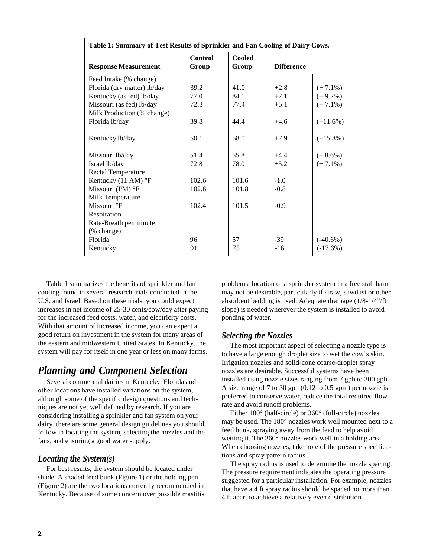| Table 1: Summary of Test Results of Sprinkler and Fan Cooling of Dairy Cows. |                         |                        |                   |             |
|------------------------------------------------------------------------------|-------------------------|------------------------|-------------------|-------------|
| <b>Response Measurement</b>                                                  | <b>Control</b><br>Group | <b>Cooled</b><br>Group | <b>Difference</b> |             |
| Feed Intake (% change)                                                       |                         |                        |                   |             |
| Florida (dry matter) lb/day                                                  | 39.2                    | 41.0                   | $+2.8$            | $(+7.1\%)$  |
| Kentucky (as fed) lb/day                                                     | 77.0                    | 84.1                   | $+7.1$            | $(+ 9.2\%)$ |
| Missouri (as fed) lb/day                                                     | 72.3                    | 77.4                   | $+5.1$            | $(+7.1\%)$  |
| Milk Production (% change)                                                   |                         |                        |                   |             |
| Florida lb/day                                                               | 39.8                    | 44.4                   | $+4.6$            | $(+11.6%)$  |
| Kentucky lb/day                                                              | 50.1                    | 58.0                   | $+7.9$            | $(+15.8\%)$ |
| Missouri lb/day                                                              | 51.4                    | 55.8                   | $+4.4$            | $(+ 8.6\%)$ |
| Israel lb/day                                                                | 72.8                    | 78.0                   | $+5.2$            | $(+7.1\%)$  |
| <b>Rectal Temperature</b>                                                    |                         |                        |                   |             |
| Kentucky (11 AM) °F                                                          | 102.6                   | 101.6                  | $-1.0$            |             |
| Missouri (PM) $\mathrm{P}F$                                                  | 102.6                   | 101.8                  | $-0.8$            |             |
| Milk Temperature                                                             |                         |                        |                   |             |
| Missouri °F                                                                  | 102.4                   | 101.5                  | $-0.9$            |             |
| Respiration                                                                  |                         |                        |                   |             |
| Rate-Breath per minute                                                       |                         |                        |                   |             |
| (% change)                                                                   |                         |                        |                   |             |
| Florida                                                                      | 96                      | 57                     | $-39$             | $(-40.6%)$  |
| Kentucky                                                                     | 91                      | 75                     | $-16$             | $(-17.6%)$  |

Table 1 summarizes the benefits of sprinkler and fan cooling found in several research trials conducted in the U.S. and Israel. Based on these trials, you could expect increases in net income of 25-30 cents/cow/day after paying for the increased feed costs, water, and electricity costs. With that amount of increased income, you can expect a good return on investment in the system for many areas of the eastern and midwestern United States. In Kentucky, the system will pay for itself in one year or less on many farms.

## *Planning and Component Selection*

Several commercial dairies in Kentucky, Florida and other locations have installed variations on the system, although some of the specific design questions and techniques are not yet well defined by research. If you are considering installing a sprinkler and fan system on your dairy, there are some general design guidelines you should follow in locating the system, selecting the nozzles and the fans, and ensuring a good water supply.

#### *Locating the System(s)*

For best results, the system should be located under shade. A shaded feed bunk (Figure 1) or the holding pen (Figure 2) are the two locations currently recommended in Kentucky. Because of some concern over possible mastitis problems, location of a sprinkler system in a free stall barn may not be desirable, particularly if straw, sawdust or other absorbent bedding is used. Adequate drainage (1/8-1/4"/ft slope) is needed wherever the system is installed to avoid ponding of water.

#### *Selecting the Nozzles*

The most important aspect of selecting a nozzle type is to have a large enough droplet size to wet the cow's skin. Irrigation nozzles and solid-cone coarse-droplet spray nozzles are desirable. Successful systems have been installed using nozzle sizes ranging from 7 gph to 300 gph. A size range of 7 to 30 gph (0.12 to 0.5 gpm) per nozzle is preferred to conserve water, reduce the total required flow rate and avoid runoff problems.

Either 180° (half-circle) or 360° (full-circle) nozzles may be used. The 180° nozzles work well mounted next to a feed bunk, spraying away from the feed to help avoid wetting it. The 360° nozzles work well in a holding area. When choosing nozzles, take note of the pressure specifications and spray pattern radius.

The spray radius is used to determine the nozzle spacing. The pressure requirement indicates the operating pressure suggested for a particular installation. For example, nozzles that have a 4 ft spray radius should be spaced no more than 4 ft apart to achieve a relatively even distribution.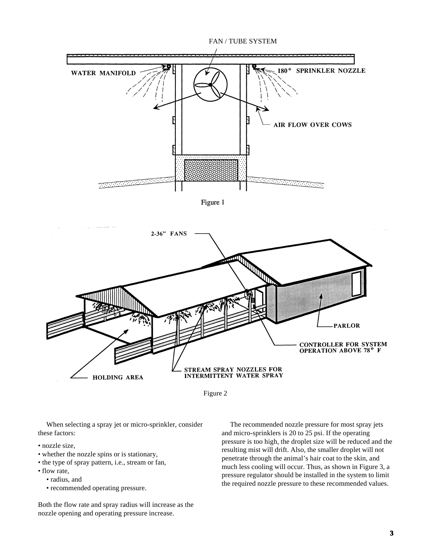

Figure 1





When selecting a spray jet or micro-sprinkler, consider these factors:

- nozzle size,
- whether the nozzle spins or is stationary,
- the type of spray pattern, i.e., stream or fan,
- flow rate,
	- radius, and
	- recommended operating pressure.

Both the flow rate and spray radius will increase as the nozzle opening and operating pressure increase.

The recommended nozzle pressure for most spray jets and micro-sprinklers is 20 to 25 psi. If the operating pressure is too high, the droplet size will be reduced and the resulting mist will drift. Also, the smaller droplet will not penetrate through the animal's hair coat to the skin, and much less cooling will occur. Thus, as shown in Figure 3, a pressure regulator should be installed in the system to limit the required nozzle pressure to these recommended values.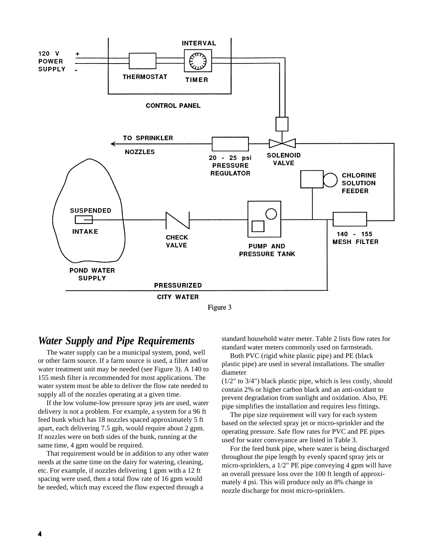

Figure 3

#### *Water Supply and Pipe Requirements*

The water supply can be a municipal system, pond, well or other farm source. If a farm source is used, a filter and/or water treatment unit may be needed (see Figure 3). A 140 to 155 mesh filter is recommended for most applications. The water system must be able to deliver the flow rate needed to supply all of the nozzles operating at a given time.

If the low volume-low pressure spray jets are used, water delivery is not a problem. For example, a system for a 96 ft feed bunk which has 18 nozzles spaced approximately 5 ft apart, each delivering 7.5 gph, would require about 2 gpm. If nozzles were on both sides of the bunk, running at the same time, 4 gpm would be required.

That requirement would be in addition to any other water needs at the same time on the dairy for watering, cleaning, etc. For example, if nozzles delivering 1 gpm with a 12 ft spacing were used, then a total flow rate of 16 gpm would be needed, which may exceed the flow expected through a

standard household water meter. Table 2 lists flow rates for standard water meters commonly used on farmsteads.

Both PVC (rigid white plastic pipe) and PE (black plastic pipe) are used in several installations. The smaller diameter

(1/2" to 3/4") black plastic pipe, which is less costly, should contain 2% or higher carbon black and an anti-oxidant to prevent degradation from sunlight and oxidation. Also, PE pipe simplifies the installation and requires less fittings.

The pipe size requirement will vary for each system based on the selected spray jet or micro-sprinkler and the operating pressure. Safe flow rates for PVC and PE pipes used for water conveyance are listed in Table 3.

For the feed bunk pipe, where water is being discharged throughout the pipe length by evenly spaced spray jets or micro-sprinklers, a 1/2" PE pipe conveying 4 gpm will have an overall pressure loss over the 100 ft length of approximately 4 psi. This will produce only an 8% change in nozzle discharge for most micro-sprinklers.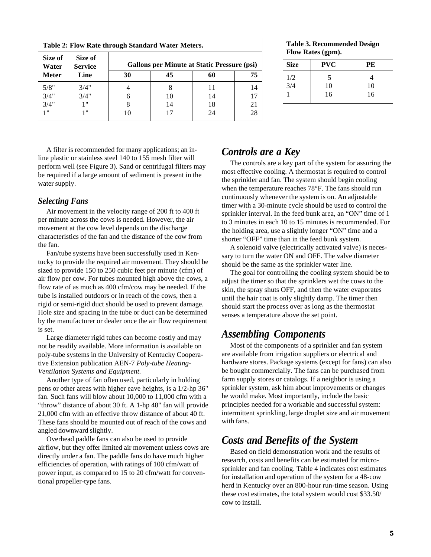| Size of<br>Water | Size of<br><b>Service</b> | <b>Gallons per Minute at Static Pressure (psi)</b> |    |    |    |
|------------------|---------------------------|----------------------------------------------------|----|----|----|
| <b>Meter</b>     | Line                      | 30                                                 | 45 | 60 | 75 |
| 5/8"             | 3/4"                      |                                                    | 8  | 11 | 14 |
| 3/4"             | 3/4"                      | 6                                                  | 10 | 14 | 17 |
| 3/4"             | 1 "                       | 8                                                  | 14 | 18 | 21 |
| 1"               | 1"                        | 10                                                 | 17 | 24 | 28 |

| <b>Table 3. Recommended Design</b><br>Flow Rates (gpm). |            |    |  |
|---------------------------------------------------------|------------|----|--|
| Size                                                    | <b>PVC</b> | PE |  |
| 1/2                                                     | 5          | 4  |  |
| 3/4                                                     | 10         | 10 |  |
|                                                         | 16         | 16 |  |

A filter is recommended for many applications; an inline plastic or stainless steel 140 to 155 mesh filter will perform well (see Figure 3). Sand or centrifugal filters may be required if a large amount of sediment is present in the water supply.

#### *Selecting Fans*

Air movement in the velocity range of 200 ft to 400 ft per minute across the cows is needed. However, the air movement at the cow level depends on the discharge characteristics of the fan and the distance of the cow from the fan.

Fan/tube systems have been successfully used in Kentucky to provide the required air movement. They should be sized to provide 150 to 250 cubic feet per minute (cfm) of air flow per cow. For tubes mounted high above the cows, a flow rate of as much as 400 cfm/cow may be needed. If the tube is installed outdoors or in reach of the cows, then a rigid or semi-rigid duct should be used to prevent damage. Hole size and spacing in the tube or duct can be determined by the manufacturer or dealer once the air flow requirement is set.

Large diameter rigid tubes can become costly and may not be readily available. More information is available on poly-tube systems in the University of Kentucky Cooperative Extension publication AEN-7 *Poly-tube Heating-Ventilation Systems and Equipment.*

Another type of fan often used, particularly in holding pens or other areas with higher eave heights, is a 1/2-hp 36" fan. Such fans will blow about 10,000 to 11,000 cfm with a "throw" distance of about 30 ft. A 1-hp 48" fan will provide 21,000 cfm with an effective throw distance of about 40 ft. These fans should be mounted out of reach of the cows and angled downward slightly.

Overhead paddle fans can also be used to provide airflow, but they offer limited air movement unless cows are directly under a fan. The paddle fans do have much higher efficiencies of operation, with ratings of 100 cfm/watt of power input, as compared to 15 to 20 cfm/watt for conventional propeller-type fans.

## *Controls are a Key*

The controls are a key part of the system for assuring the most effective cooling. A thermostat is required to control the sprinkler and fan. The system should begin cooling when the temperature reaches 78°F. The fans should run continuously whenever the system is on. An adjustable timer with a 30-minute cycle should be used to control the sprinkler interval. In the feed bunk area, an "ON" time of 1 to 3 minutes in each 10 to 15 minutes is recommended. For the holding area, use a slightly longer "ON" time and a shorter "OFF" time than in the feed bunk system.

A solenoid valve (electrically activated valve) is necessary to turn the water ON and OFF. The valve diameter should be the same as the sprinkler water line.

The goal for controlling the cooling system should be to adjust the timer so that the sprinklers wet the cows to the skin, the spray shuts OFF, and then the water evaporates until the hair coat is only slightly damp. The timer then should start the process over as long as the thermostat senses a temperature above the set point.

#### *Assembling Components*

Most of the components of a sprinkler and fan system are available from irrigation suppliers or electrical and hardware stores. Package systems (except for fans) can also be bought commercially. The fans can be purchased from farm supply stores or catalogs. If a neighbor is using a sprinkler system, ask him about improvements or changes he would make. Most importantly, include the basic principles needed for a workable and successful system: intermittent sprinkling, large droplet size and air movement with fans.

## *Costs and Benefits of the System*

Based on field demonstration work and the results of research, costs and benefits can be estimated for microsprinkler and fan cooling. Table 4 indicates cost estimates for installation and operation of the system for a 48-cow herd in Kentucky over an 800-hour run-time season. Using these cost estimates, the total system would cost \$33.50/ cow to install.